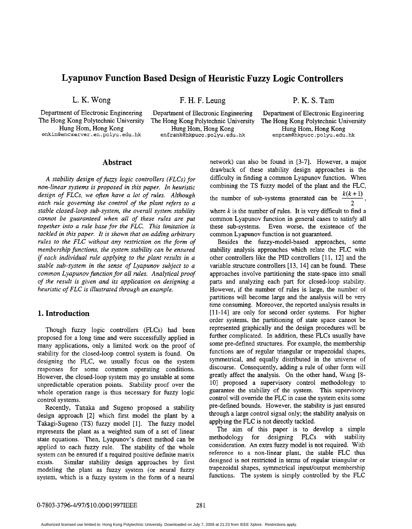# **Lyapunov Function Based Design of Heuristic Fuzzy Logic Controllers**

Department of Electronic Engineering Department of Electronic Engineering Department of Electronic Engineering enkin@encserver.en.polyu.edu.hk

L. K. Wong **F. H. F. Leung** P. K. S. Tam

Hung Hom, Hong Kong Hung Hom, Hong Kong Hung Hom, Hong Kong

The Hong Kong Polytechnic University The Hong Kong Polytechnic University The Hong Kong Polytechnic University

#### **Abstract**

A stability design of fuzzy logic controllers (FLCs) for *non-linear systems is proposed in this paper. In heuristic design of FLCs, we often have a lot of rules. Although each rule governing the control of the plant refers to a stable closed-loop sub-system, the overall system stability cannot be guaranteed when all of these rules are put together into a rule base for the FLC. This limitation is tackled in this paper. It is shown that on adding arbitrary rules to the FLC without any restriction on the form of membership functions, the system stability can be ensured if each individual rule applying to the plant results in a stable sub-system in the sense of Lyapunov subject to a common Lyapunov function for all rules. Analytical proof of the result is given and its application on designing a heuristic of FLC is illustrated through an example.* 

#### **1. Introduction**

Though fuzzy logic controllers (FLCs) had been proposed for a long time and were successfully applied in many applications, only a limited work on the proof of stability for the closed-loop control system is found. On designing the FLC, we usually focus on the system responses for some common operating conditions. However, the closed-loop system may go unstable at some unpredictable operation points. Stability proof over the whole operation range is thus necessary for fuzzy logic control systems.

Recently, Tanaka and Sugeno proposed a stability design approach [2] which first model the plant by a Takagi-Sugeno (TS) fuzzy model [l]. The fuzzy model represents the plant as a weighted sum of a set of linear state equations. Then, Lyapunov's direct method can be applied to each fuzzy rule. The stability of the whole system can be ensured if a required positive definite matrix exists. Similar stability design approaches by first modeling the plant as fuzzy system (or neural fuzzy system, which is a fuzzy system in the form of a neural network) can also be found in [3-7]. However, a major drawback of these stability design approaches is the difficulty in finding a common Lyapunov function. When combining the TS fuzzy model of the plant and the **FLC, hetwork)** can also be found in [3-7]. However, a major drawback of these stability design approaches is the difficulty in finding a common Lyapunov function. When combining the TS fuzzy model of the plant and the FLC, th where  $k$  is the number of rules. It is very difficult to find a common Lyapunov function in general cases to satisfy all these sub-systems. Even worse, the existence of the common Lyapunov function is not guaranteed. 2  $\qquad \qquad$ 

Besides the fuzzy-model-based approaches, some stability analysis approaches which relate the FLC with other controllers like the PID controllers [ 11, 121 and the variable structure controllers [13, 141 can be found. These approaches involve partitioning the state-space into small parts and analyzing each **part** for closed-loop stability. However, if the number of rules is large, the number of partitions will become large and the analysis will be very time consuming. Moreover, the reported analysis results in [11-14] are only for second order systems. For higher order systems, the partitioning of state space cannot be represented graphically and the design procedures will be further complicated. In addition, these FLCs usually have some pre-defined structures. For example, the membership functions are of regular triangular or trapezoidal shapes, symmetrical, and equally distributed in the universe of discourse. Consequently, adding a rule of other form will greatly affect the analysis. On the other hand, Wang [8- 101 proposed a supervisory control methodology to guarantee the stability of the system. This supervisory control will override the FLC in case the system exits some pre-defined bounds. However, the stability is just ensured through a Iarge control signal only; the stability analysis on applying the **FLC** is not directly tackled.

The aim of this paper is to develop a simple methodology for designing FLCs with stability consideration. An extra fuzzy model is not required. With reference to a non-linear plant, the stable FLC thus designed is not restricted in terms of regular triangular or trapezoidal shapes, symmetrical input/output membership functions. The system is simply controlled by the FLC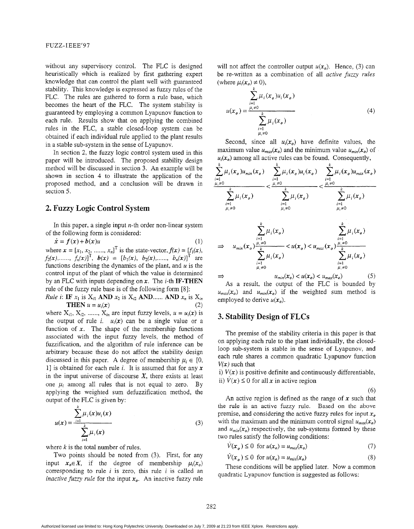without any supervisory control. The **FLC** is designed heuristically which is realized by first gathering expert knowledge that can control the plant well with guaranteed stability. This knowledge is expressed as fuzzy rules of the FLC. The rules are gathered to form a rule base, which becomes the heart of the FLC. The system stability is guaranteed by employing a common Lyapunov function to each rule. Results show that on applying the combined rules in the FLC, a stable closed-loop system can be obtained if each individual rule applied to the plant results in a stable sub-system in the sense of Lyapunov.

In section 2, the fuzzy logic control system used in this paper will be introduced. The proposed stability design method will be discussed in section 3. An example will be shown in section 4 to illustrate the application of the proposed method, and a conclusion will be drawn in section *5.* 

## **2. Fuzzy Logic Control System**

In this paper, a single input  $n$ -th order non-linear system of the following form is considered:

(1)  $\dot{x} = f(x) + b(x)u$ 

where  $\mathbf{x} = [x_1, x_2, \dots, x_n]^T$  is the state-vector,  $f(\mathbf{x}) = [f_1(\mathbf{x}),$  $f_2(x), \dots, f_n(x)$ <sup>T</sup>,  $b(x) = [b_1(x), b_2(x), \dots, b_n(x)]$ <sup>T</sup> are functions describing the dynamics of the plant, and *u* is the control input of the plant of which the value is determined by an FLC with inputs depending on **x.** The i-th **IF-THEN**  rule of the fuzzy rule base is of the following form [8]:

*Rule i*: **IF**  $x_1$  is  $X_{i1}$  **AND**  $x_2$  is  $X_{i2}$  **AND**...... **AND**  $x_n$  is  $X_{in}$ **THEN**  $u = u_i(x)$ 

where  $X_{i1}$ ,  $X_{i2}$ , ......,  $X_{in}$  are input fuzzy levels,  $u = u_i(x)$  is the output of rule i.  $u_i(x)$  can be a single value or a function of  $x$ . The shape of the membership functions associated with the input fuzzy levels, the method of fuzzification, and the algorithm of rule inference can be arbitrary because these do not affect the stability design discussed in this paper. A degree of membership  $\mu_i \in [0,$ 11 is obtained for each rule *i.* It is assumed that for any **x**  in the input universe of discourse *X,* there exists at least one  $\mu_i$  among all rules that is not equal to zero. By applying the weighted sum defuzzification method, the output of the FLC is given by:

$$
u(x) = \frac{\sum_{i=1}^{k} \mu_i(x) u_i(x)}{\sum_{i=1}^{k} \mu_i(x)}
$$
(3)

where *k* is the total number of rules.

Two points should be noted from (3). First, for any input  $x_o \in X$ , if the degree of membership  $\mu_i(x_o)$ corresponding to rule *i* is zero, this rule *i* is called an *inactive fuzzy rule* for the input  $x_{o}$ . An inactive fuzzy rule will not affect the controller output  $u(x_0)$ . Hence, (3) can be re-written as a combination of all *active fuzzy rules* (where  $\mu_i(x_0) \neq 0$ ),

$$
u(x_o) = \frac{\sum_{i=1}^{k} \mu_i(x_o) u_i(x_o)}{\sum_{\substack{i=1 \ i \neq 0}}^{k} \mu_i(x_o)}
$$
(4)

Second, since all  $u_i(x_o)$  have definite values, the maximum value  $u_{max}(x_o)$  and the minimum value  $u_{min}(x_o)$  of  $u_i(x_o)$  among all active rules can be found. Consequently,

$$
\frac{\sum_{i=1}^{k} \mu_i(x_o) u_{min}(x_o)}{\sum_{i=1}^{k} \mu_i(x_o)} \leq \frac{\sum_{i=1}^{k} \mu_i(x_o) u_i(x_o)}{\sum_{i=1}^{k} \mu_i(x_o)} \leq \frac{\sum_{i=1}^{k} \mu_i(x_o) u_{max}(x_o)}{\sum_{i=1}^{k} \mu_i(x_o)} \leq \frac{\sum_{i=1}^{k} \mu_i(x_o) u_{max}(x_o)}{\sum_{i=1}^{k} \mu_i(x_o)}
$$

$$
\Rightarrow u_{min}(x_o) \frac{\sum_{i=1}^{k} \mu_i(x_o)}{\sum_{i=1}^{k} \mu_i(x_o)} < u(x_o) < u_{max}(x_o) \frac{\sum_{i=1}^{k} \mu_i(x_o)}{\sum_{i=1}^{k} \mu_i(x_o)}
$$
  

$$
\Rightarrow u_{min}(x_o) < u(x_o) < u_{max}(x_o)
$$
 (5)

As a result, the output of the FLC is bounded by  $u_{max}(x_0)$  and  $u_{min}(x_0)$  if the weighted sum method is employed to derive  $u(x_0)$ .

### **3. Stability Design of FLCs**

The premise of the stability criteria in this paper is that on applying each rule to the plant individually, the closedloop sub-system is stable in the sense of Lyapunov, and each rule shares a common quadratic Lyapunov function  $V(x)$  such that

i)  $V(x)$  is positive definite and continuously differentiable, ii)  $\dot{V}(x) \le 0$  for all x in active region

(6)

An active region is defined as the range of  $x$  such that the rule is an active fuzzy rule. Based on the above premise, and considering the active fuzzy rules for input *x,*  with the maximum and the minimum control signal  $u_{max}(x_o)$ and  $u_{min}(x_0)$  respectively, the sub-systems formed by these two rules satisfy the following conditions:

$$
V(x_o) \le 0 \text{ for } u(x_o) = u_{max}(x_o) \tag{7}
$$

$$
V(x_o) \le 0 \text{ for } u(x_o) = u_{min}(x_o) \tag{8}
$$

These conditions will be applied later. Now a common quadratic Lyapunov function is suggested as follows: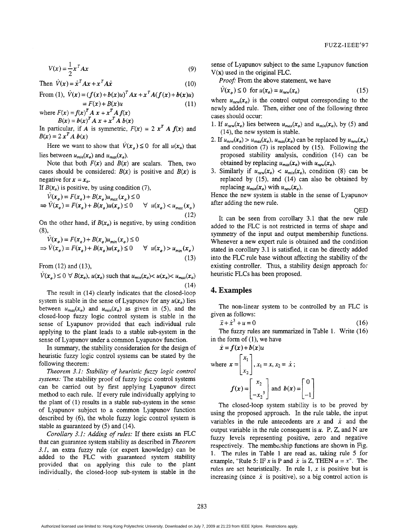$$
V(x) = \frac{1}{2}x^T A x \tag{9}
$$

Then  $\dot{V}(x) = \dot{x}^T A x + x^T A \dot{x}$  (10)

From (1), 
$$
\dot{V}(x) = (f(x) + b(x)u)^T Ax + x^T A(f(x) + b(x)u)
$$
  
=  $F(x) + B(x)u$  (11)

where  $F(x) = f(x)^T A x + x^T A f(x)$  $B(x) = b(x)^{T} A x + x^{T} A b(x)$ 

In particular, if A is symmetric,  $F(x) = 2 x^T A f(x)$  and  $B(x) = 2 x^T A b(x)$ 

Here we want to show that  $\dot{V}(x_a) \leq 0$  for all  $u(x_a)$  that lies between  $u_{min}(x_o)$  and  $u_{max}(x_o)$ .

Note that both  $F(x)$  and  $B(x)$  are scalars. Then, two cases should be considered:  $B(x)$  is positive and  $B(x)$  is negative for  $x = x_0$ .

If  $B(x_0)$  is positive, by using condition (7),

$$
\dot{V}(x_o) = F(x_o) + B(x_o)u_{max}(x_o) \le 0
$$
  
\n
$$
\Rightarrow \dot{V}(x_o) = F(x_o) + B(x_o)u(x_o) \le 0 \quad \forall u(x_o) < u_{max}(x_o)
$$
\n(12)

On the other hand, if  $B(x_0)$  is negative, by using condition  $(8),$ 

$$
\dot{V}(x_o) = F(x_o) + B(x_o)u_{min}(x_o) \le 0
$$
  
\n
$$
\Rightarrow \dot{V}(x_o) = F(x_o) + B(x_o)u(x_o) \le 0 \quad \forall u(x_o) > u_{min}(x_o)
$$
\n(13)

From (12) and (13),

From (12) and (13),  
\n
$$
\dot{V}(x_o) \le 0 \ \forall B(x_o), u(x_o) \text{ such that } u_{min}(x_o) < u(x_o) < u_{max}(x_o)
$$
\n(14)

The result in (14) clearly indicates that the closed-loop system is stable in the sense of Lyapunov for any  $u(x_0)$  lies between  $u_{max}(x_o)$  and  $u_{min}(x_o)$  as given in (5), and the closed-loop fuzzy logic control system is stable in the sense of Lyapunov provided that each individual rule applying to the plant leads to a stable sub-system in the sense of Lyapunov under a common Lyapunov function.

In summary, the stability consideration for the design of heuristic fuzzy logic control systems can be stated by the following theorem:

*Theorem 3.1: Stability of heuristic fuzzy logic control systems:* The stability proof of fuzzy logic control systems can be carried out by first applying Lyapunov direct method to each rule. If every rule individually applying to the plant of (1) results in a stable sub-system in the sense of Lyapunov subject to a common Lyapunov function described by (6), the whole fuzzy logic control system is stable as guaranteed by *(5)* and (14).

*Corollary 3.1: Adding of rules:* If there exists an FLC that can guarantee system stability as described in *Theorem*  3.1, an extra fuzzy rule (or expert knowledge) can be added to the **FLC** with guaranteed system stability provided that on applying this rule to the plant individually, the closed-loop sub-system is stable in the sense of Lyapunov subject to the same Lyapunov function **V(x)** used in the original **FLC.** 

Proof: From the above statement, we have

$$
V(x_o) \le 0 \quad \text{for } u(x_o) = u_{new}(x_o) \tag{15}
$$

where  $u_{new}(x_0)$  is the control output corresponding to the newly added rule. Then, either one of the following three cases should occur:

- 1. If  $u_{new}(x_o)$  lies between  $u_{max}(x_o)$  and  $u_{min}(x_o)$ , by (5) and (14), the new system is stable.
- 2. If  $u_{new}(x_o) > u_{max}(x_o)$ ,  $u_{max}(x_o)$  can be replaced by  $u_{new}(x_o)$ and condition (7) is replaced by (15). Following the proposed stability analysis, condition (14) can be obtained by replacing  $u_{max}(x_o)$  with  $u_{new}(x_o)$ .
- 3. Similarly if  $u_{new}(x_a) < u_{min}(x_a)$ , condition (8) can be replaced by **(15),** and (14) can also be obtained by replacing  $u_{min}(x_a)$  with  $u_{new}(x_a)$ .

Hence the new system is stable in the sense of Lyapunov after adding the new rule.

QED

It can be seen from corollary 3.1 that the new rule added to the FLC is not restricted in terms of shape and symmetry of the input and output membership functions. Whenever a new expert rule is obtained and the condition stated in corollary 3.1 is satisfied, it can be directly added into the FLC rule base without affecting the stability of the existing controller. Thus, a stability design approach for heuristic FLCs has been proposed.

## **4. Examples**

The non-linear system to be controlled by an **FLC** is given **as** follows:

$$
\ddot{x} + \dot{x}^3 + u = 0 \tag{16}
$$

The fuzzy rules are summarized in [Table 1.](#page-3-0) Write  $(16)$ in the form of (l), we have

$$
\dot{x} = f(x) + b(x)u
$$
\nwhere  $x = \begin{bmatrix} x_1 \\ x_2 \end{bmatrix}$ ,  $x_1 = x$ ,  $x_2 = \dot{x}$ ;  
\n
$$
f(x) = \begin{bmatrix} x_2 \\ -x_2 \end{bmatrix}
$$
 and  $b(x) = \begin{bmatrix} 0 \\ -1 \end{bmatrix}$ 

The closed-loop system stability is to be proved by using the proposed approach. In the rule table, the input variables in the rule antecedents are  $x$  and  $\dot{x}$  and the output variable in the rule consequent is *U.* P, 2, and N are fuzzy levels representing positive, zero and negative respectively. The membership functions are shown in Fig. 1. The rules in [Table 1](#page-3-0) are read as, taking rule 5 for example, "Rule 5: IF x is P and  $\dot{x}$  is Z, THEN  $u = x$ ". The rules are set heuristically. In rule  $1, x$  is positive but is increasing (since  $\dot{x}$  is positive), so a big control action is

Authorized licensed use limited to: Hong Kong Polytechnic University. Downloaded on July 7, 2009 at 21:23 from IEEE Xplore. Restrictions apply.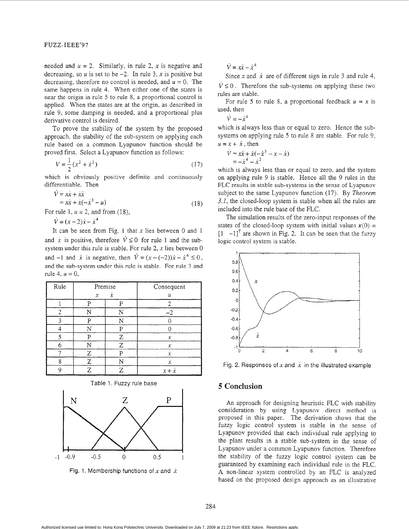<span id="page-3-0"></span>needed and  $u = 2$ . Similarly, in rule 2, x is negative and decreasing, so  $\mu$  is set to be  $-2$ . In rule 3,  $\chi$  is positive but decreasing, therefore no control is needed, and  $u = 0$ . The same happens in rule 4. When either one of the states is near the origin in rule *5* to rule 8, a proportional control is applied. When the states are at the origin, as described in rule 9, some damping is needed, and a proportional plus derivative control is desired.

To prove the stability of the system by the proposed approach, the stability of the sub-system on applying each rule based on a common Lyapunov function should be proved first. Select a Lyapunov function as follows:

$$
V = \frac{1}{2}(x^2 + \dot{x}^2)
$$
 (17)

which is obviously positive definite and continuously differentiable. Then

$$
\begin{aligned} \dot{V} &= x\dot{x} + \dot{x}\ddot{x} \\ &= x\dot{x} + \dot{x}(-\dot{x}^3 - u) \end{aligned} \tag{18}
$$

For rule 1,  $u = 2$ , and from (18),

 $\dot{V} = (x - 2)\dot{x} - \dot{x}^4$ 

It can be seen from Fig. 1 that *x* lies between 0 and 1 and  $\dot{x}$  is positive, therefore  $\dot{V} \le 0$  for rule 1 and the subsystem under this rule is stable. For rule *2, x* lies between 0 and  $-1$  and  $\dot{x}$  is negative, then  $\dot{V} = (x - (-2))\dot{x} - \dot{x}^4 \leq 0$ , and the sub-system under this rule is stable. For rule 3 and rule 4,  $u = 0$ ,

| Rule | Premise                                 |   | Consequent          |
|------|-----------------------------------------|---|---------------------|
|      | $\boldsymbol{x}$<br>$\boldsymbol{\chi}$ |   | и                   |
|      | n                                       |   |                     |
|      | N                                       |   | $-2$                |
|      | P                                       | Ñ |                     |
|      | N                                       | p |                     |
|      |                                         | Ζ | $\chi$              |
|      | N                                       | Z | $\chi$              |
|      | Z                                       | ם | $\chi$              |
| Я    | Ζ                                       |   | $\boldsymbol{\chi}$ |
|      | 7.                                      |   | $x + \dot{x}$       |



Fig. 1. Membership functions of  $x$  and  $\dot{x}$ 

 $\dot{V}=x\dot{x}-\dot{x}^4$ 

Since *x* and  $\dot{x}$  are of different sign in rule 3 and rule 4,  $\dot{V} \leq 0$ . Therefore the sub-systems on applying these two rules are stable.

For rule 5 to rule 8, a proportional feedback  $u = x$  is used, then

 $\dot{V} = -\dot{x}^4$ 

which is always less than or equal to zero. Hence the subsystems on applying rule 5 to rule 8 are stable. For rule 9,  $u = x + \dot{x}$ , then

$$
\dot{V} = x\dot{x} + \dot{x}(-\dot{x}^{3} - x - \dot{x})
$$
  
=  $-\dot{x}^{4} - \dot{x}^{2}$ 

which is always less than or equal to zero, and the system on applying rule 9 is stable. Hence all the 9 rules in the FLC results in stable sub-systems in the sense of Lyapunov subject to the same Lyapunov function (17). By *Theorem 3.1,* the closed-loop system is stable when all the rules are included into the rule base of the **FLC.** 

The simulation results of the zero-input responses of the states of the closed-loop system with initial values  $x(0) =$  $\begin{bmatrix} 1 & -1 \end{bmatrix}^T$  are shown in Fig. 2. It can be seen that the fuzzy logic control system is stable.



Fig. 2. Responses of  $x$  and  $\dot{x}$  in the illustrated example

# *5* **Conclusion**

**An** approach for designing heuristic FLC with stability consideration by using Lyapunov direct method is proposed in this paper. The derivation shows that the fuzzy logic control system is stable in the sense of Lyapunov provided that each individual rule applying to the plant results in a stable sub-system in the sense of Lyapunov under a common Lyapunov function. Therefore the stability of the fuzzy logic control system can be guaranteed by examining each individual rule in the FLC. **A** non-linear system controlled by an FLC is analyzed based on the proposed design approach as an illustrative